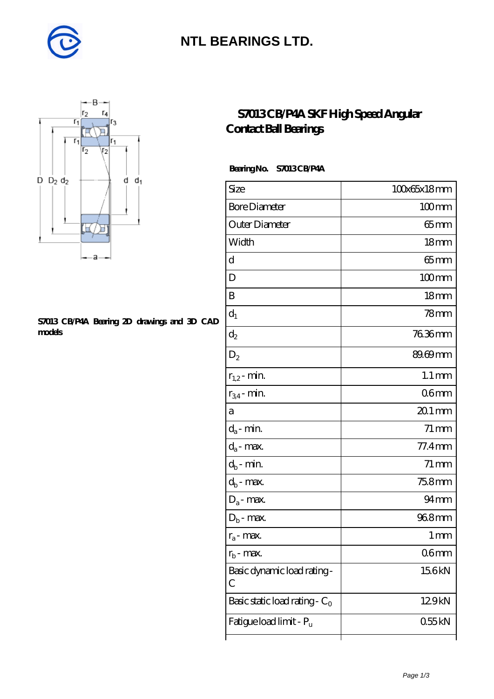

### **[NTL BEARINGS LTD.](https://m.diabetesfriends.net)**



#### **[S7013 CB/P4A Bearing 2D drawings and 3D CAD](https://m.diabetesfriends.net/pic-590720.html) [models](https://m.diabetesfriends.net/pic-590720.html)**

### **[S7013 CB/P4A SKF High Speed Angular](https://m.diabetesfriends.net/skf-bearing/s7013-cb-p4a.html) [Contact Ball Bearings](https://m.diabetesfriends.net/skf-bearing/s7013-cb-p4a.html)**

### **Bearing No. S7013 CB/P4A**

| Size                             | 100x65x18mm         |
|----------------------------------|---------------------|
| <b>Bore Diameter</b>             | $100$ mm            |
| Outer Diameter                   | $65$ mm             |
| Width                            | 18 <sub>mm</sub>    |
| d                                | $65$ mm             |
| D                                | $100$ mm            |
| B                                | 18 <sub>mm</sub>    |
| $d_1$                            | $78$ mm             |
| $\mathrm{d}_2$                   | 76.36mm             |
| $D_2$                            | 89.69mm             |
| $r_{1,2}$ - min.                 | $1.1 \,\mathrm{mm}$ |
| $r_{34}$ - min.                  | 06 <sub>mm</sub>    |
| а                                | $201$ mm            |
| $d_a$ - min.                     | $71 \,\mathrm{mm}$  |
| $d_a$ - max.                     | $77.4$ mm           |
| $d_b$ - min.                     | $71 \,\mathrm{mm}$  |
| $d_b$ - max.                     | 75.8mm              |
| $D_a$ - max.                     | $94 \text{mm}$      |
| $\mathbf{D}_\mathrm{b}$ - max.   | 968mm               |
| $r_a$ - max.                     | 1 mm                |
| $r_{\rm b}$ - max.               | 06 <sub>mm</sub>    |
| Basic dynamic load rating-<br>С  | 15.6kN              |
| Basic static load rating - $C_0$ | 129kN               |
| Fatigue load limit - Pu          | 055kN               |
|                                  |                     |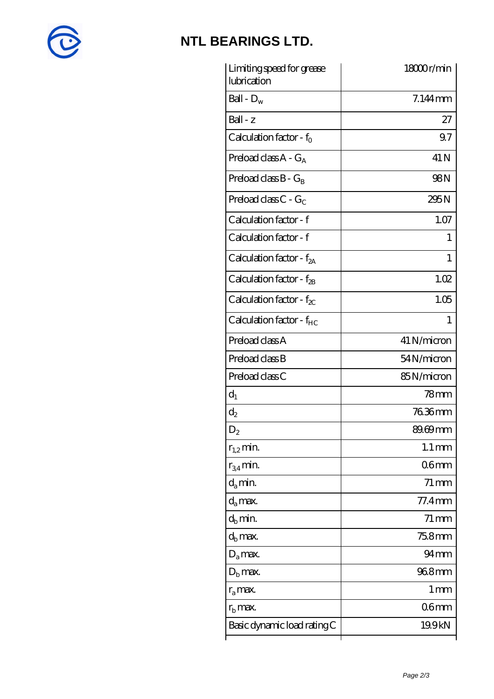

# **[NTL BEARINGS LTD.](https://m.diabetesfriends.net)**

| Limiting speed for grease<br>lubrication | 18000r/min          |
|------------------------------------------|---------------------|
| Ball - $D_w$                             | $7.144$ mm          |
| $Ball - z$                               | 27                  |
| Calculation factor - $f_0$               | 9.7                 |
| Preload class $A - G_A$                  | 41 N                |
| Preload class $B - G_R$                  | 98 <sub>N</sub>     |
| Preload class C - $G_C$                  | 295N                |
| Calculation factor - f                   | 1.07                |
| Calculation factor - f                   | 1                   |
| Calculation factor - $f_{2A}$            | 1                   |
| Calculation factor - $f_{\rm 2B}$        | 1.02                |
| Calculation factor - $f_{\chi}$          | 1.05                |
| Calculation factor - f <sub>HC</sub>     | 1                   |
| Preload class A                          | 41 N/micron         |
| Preload class B                          | 54N/micron          |
| Preload class C                          | 85N/micron          |
| $d_1$                                    | 78 <sub>mm</sub>    |
| $d_2$                                    | 7636mm              |
| $\mathrm{D}_2$                           | 89.69mm             |
| $r_{1,2}$ min.                           | $1.1 \,\mathrm{mm}$ |
| $r_{34}$ min.                            | 06 <sub>mm</sub>    |
| $d_{a}$ min.                             | 71 mm               |
| $d_a$ max.                               | $77.4$ mm           |
| $d_h$ min.                               | $71 \,\mathrm{mm}$  |
| $d_h$ max.                               | 75.8mm              |
| $D_a$ max.                               | $94 \text{mm}$      |
| $D_{\rm b}$ max.                         | 968mm               |
| $r_a$ max.                               | 1 mm                |
| $r_{\rm b}$ max.                         | 06mm                |
| Basic dynamic load rating C              | 19.9kN              |